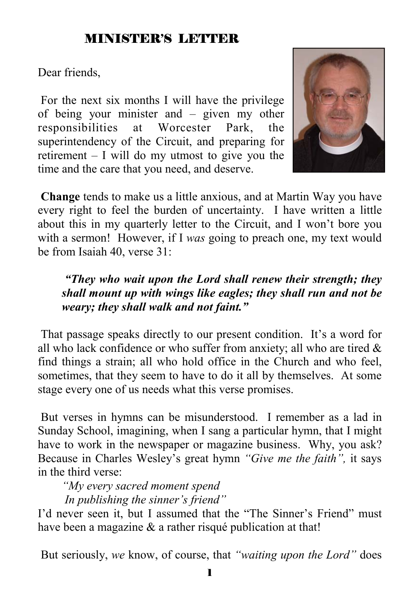## MINISTER'S LETTER

Dear friends,

 For the next six months I will have the privilege of being your minister and – given my other responsibilities at Worcester Park, the superintendency of the Circuit, and preparing for retirement – I will do my utmost to give you the time and the care that you need, and deserve.



**Change** tends to make us a little anxious, and at Martin Way you have every right to feel the burden of uncertainty. I have written a little about this in my quarterly letter to the Circuit, and I won't bore you with a sermon! However, if I *was* going to preach one, my text would be from Isaiah 40, verse 31:

### *"They who wait upon the Lord shall renew their strength; they shall mount up with wings like eagles; they shall run and not be weary; they shall walk and not faint."*

 That passage speaks directly to our present condition. It's a word for all who lack confidence or who suffer from anxiety; all who are tired  $\&$ find things a strain; all who hold office in the Church and who feel, sometimes, that they seem to have to do it all by themselves. At some stage every one of us needs what this verse promises.

 But verses in hymns can be misunderstood. I remember as a lad in Sunday School, imagining, when I sang a particular hymn, that I might have to work in the newspaper or magazine business. Why, you ask? Because in Charles Wesley's great hymn *"Give me the faith",* it says in the third verse:

*"My every sacred moment spend In publishing the sinner's friend"*

I'd never seen it, but I assumed that the "The Sinner's Friend" must have been a magazine & a rather risqué publication at that!

But seriously, *we* know, of course, that *"waiting upon the Lord"* does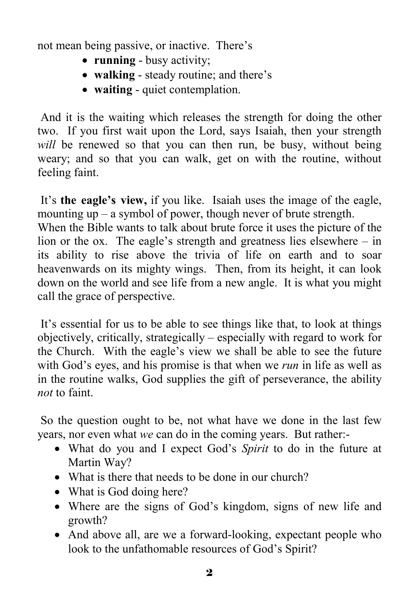not mean being passive, or inactive. There's

- **running** busy activity;
- **walking** steady routine; and there's
- **waiting** quiet contemplation.

 And it is the waiting which releases the strength for doing the other two. If you first wait upon the Lord, says Isaiah, then your strength *will* be renewed so that you can then run, be busy, without being weary; and so that you can walk, get on with the routine, without feeling faint.

 It's **the eagle's view,** if you like. Isaiah uses the image of the eagle, mounting up – a symbol of power, though never of brute strength.

When the Bible wants to talk about brute force it uses the picture of the lion or the ox. The eagle's strength and greatness lies elsewhere – in its ability to rise above the trivia of life on earth and to soar heavenwards on its mighty wings. Then, from its height, it can look down on the world and see life from a new angle. It is what you might call the grace of perspective.

 It's essential for us to be able to see things like that, to look at things objectively, critically, strategically – especially with regard to work for the Church. With the eagle's view we shall be able to see the future with God's eyes, and his promise is that when we *run* in life as well as in the routine walks, God supplies the gift of perseverance, the ability *not* to faint.

 So the question ought to be, not what have we done in the last few years, nor even what *we* can do in the coming years. But rather:-

- What do you and I expect God's *Spirit* to do in the future at Martin Way?
- What is there that needs to be done in our church?
- What is God doing here?
- Where are the signs of God's kingdom, signs of new life and growth?
- And above all, are we a forward-looking, expectant people who look to the unfathomable resources of God's Spirit?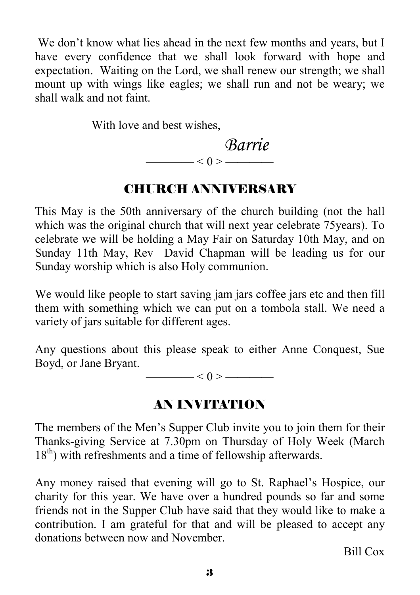We don't know what lies ahead in the next few months and years, but I have every confidence that we shall look forward with hope and expectation. Waiting on the Lord, we shall renew our strength; we shall mount up with wings like eagles; we shall run and not be weary; we shall walk and not faint.

With love and best wishes,

$$
\overbrace{\hspace{2.5cm}}^{Barrie}
$$

## CHURCH ANNIVERSARY

This May is the 50th anniversary of the church building (not the hall which was the original church that will next year celebrate 75years). To celebrate we will be holding a May Fair on Saturday 10th May, and on Sunday 11th May, Rev David Chapman will be leading us for our Sunday worship which is also Holy communion.

We would like people to start saving jam jars coffee jars etc and then fill them with something which we can put on a tombola stall. We need a variety of jars suitable for different ages.

Any questions about this please speak to either Anne Conquest, Sue Boyd, or Jane Bryant.

 $-$  < 0 >  $-$ 

## AN INVITATION

The members of the Men's Supper Club invite you to join them for their Thanks-giving Service at 7.30pm on Thursday of Holy Week (March 18<sup>th</sup>) with refreshments and a time of fellowship afterwards.

Any money raised that evening will go to St. Raphael's Hospice, our charity for this year. We have over a hundred pounds so far and some friends not in the Supper Club have said that they would like to make a contribution. I am grateful for that and will be pleased to accept any donations between now and November.

Bill Cox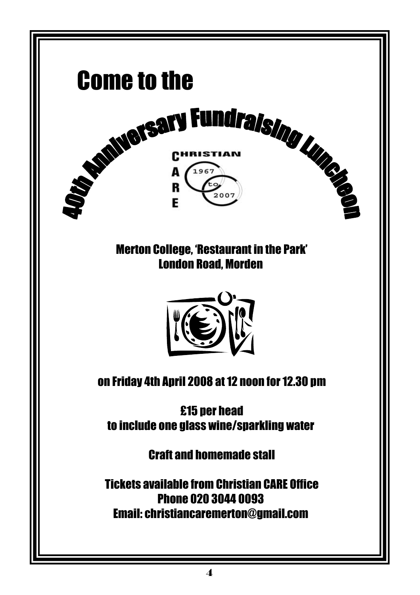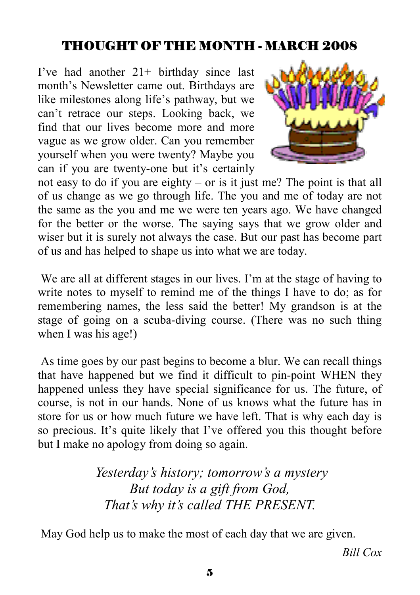## THOUGHT OF THE MONTH - MARCH 2008

I've had another 21+ birthday since last month's Newsletter came out. Birthdays are like milestones along life's pathway, but we can't retrace our steps. Looking back, we find that our lives become more and more vague as we grow older. Can you remember yourself when you were twenty? Maybe you can if you are twenty-one but it's certainly



not easy to do if you are eighty – or is it just me? The point is that all of us change as we go through life. The you and me of today are not the same as the you and me we were ten years ago. We have changed for the better or the worse. The saying says that we grow older and wiser but it is surely not always the case. But our past has become part of us and has helped to shape us into what we are today.

We are all at different stages in our lives. I'm at the stage of having to write notes to myself to remind me of the things I have to do; as for remembering names, the less said the better! My grandson is at the stage of going on a scuba-diving course. (There was no such thing when I was his age!)

 As time goes by our past begins to become a blur. We can recall things that have happened but we find it difficult to pin-point WHEN they happened unless they have special significance for us. The future, of course, is not in our hands. None of us knows what the future has in store for us or how much future we have left. That is why each day is so precious. It's quite likely that I've offered you this thought before but I make no apology from doing so again.

> *Yesterday's history; tomorrow's a mystery But today is a gift from God, That's why it's called THE PRESENT.*

May God help us to make the most of each day that we are given.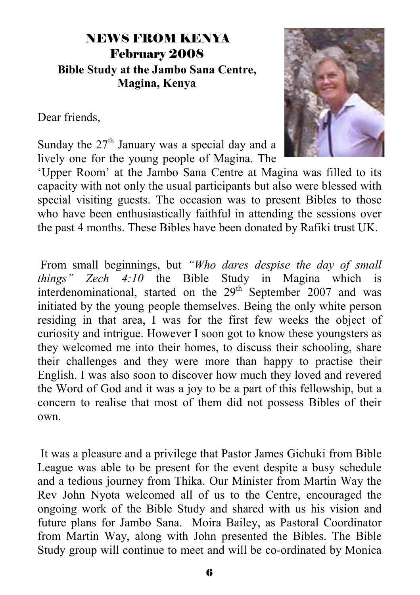## NEWS FROM KENYA February 2008 **Bible Study at the Jambo Sana Centre, Magina, Kenya**

Dear friends,



Sunday the  $27<sup>th</sup>$  January was a special day and a lively one for the young people of Magina. The

'Upper Room' at the Jambo Sana Centre at Magina was filled to its capacity with not only the usual participants but also were blessed with special visiting guests. The occasion was to present Bibles to those who have been enthusiastically faithful in attending the sessions over the past 4 months. These Bibles have been donated by Rafiki trust UK.

 From small beginnings, but *"Who dares despise the day of small things" Zech 4:10* the Bible Study in Magina which is interdenominational, started on the  $29<sup>th</sup>$  September 2007 and was initiated by the young people themselves. Being the only white person residing in that area, I was for the first few weeks the object of curiosity and intrigue. However I soon got to know these youngsters as they welcomed me into their homes, to discuss their schooling, share their challenges and they were more than happy to practise their English. I was also soon to discover how much they loved and revered the Word of God and it was a joy to be a part of this fellowship, but a concern to realise that most of them did not possess Bibles of their own.

 It was a pleasure and a privilege that Pastor James Gichuki from Bible League was able to be present for the event despite a busy schedule and a tedious journey from Thika. Our Minister from Martin Way the Rev John Nyota welcomed all of us to the Centre, encouraged the ongoing work of the Bible Study and shared with us his vision and future plans for Jambo Sana. Moira Bailey, as Pastoral Coordinator from Martin Way, along with John presented the Bibles. The Bible Study group will continue to meet and will be co-ordinated by Monica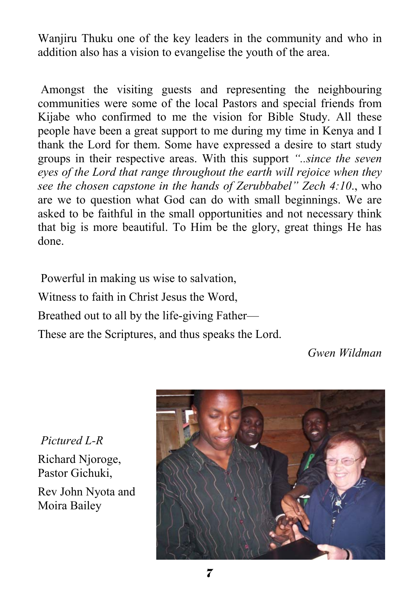Wanjiru Thuku one of the key leaders in the community and who in addition also has a vision to evangelise the youth of the area.

 Amongst the visiting guests and representing the neighbouring communities were some of the local Pastors and special friends from Kijabe who confirmed to me the vision for Bible Study. All these people have been a great support to me during my time in Kenya and I thank the Lord for them. Some have expressed a desire to start study groups in their respective areas. With this support *"..since the seven eyes of the Lord that range throughout the earth will rejoice when they see the chosen capstone in the hands of Zerubbabel" Zech 4:10*., who are we to question what God can do with small beginnings. We are asked to be faithful in the small opportunities and not necessary think that big is more beautiful. To Him be the glory, great things He has done.

Powerful in making us wise to salvation,

Witness to faith in Christ Jesus the Word,

Breathed out to all by the life-giving Father—

These are the Scriptures, and thus speaks the Lord.

*Gwen Wildman* 

*Pictured L-R*  Richard Njoroge,

Pastor Gichuki,

Rev John Nyota and Moira Bailey

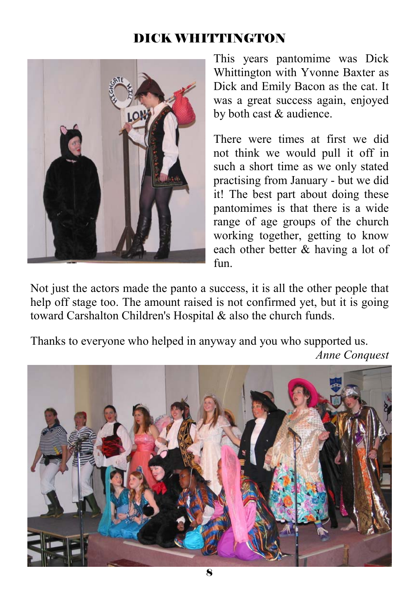## DICK WHITTINGTON



This years pantomime was Dick Whittington with Yvonne Baxter as Dick and Emily Bacon as the cat. It was a great success again, enjoyed by both cast & audience.

There were times at first we did not think we would pull it off in such a short time as we only stated practising from January - but we did it! The best part about doing these pantomimes is that there is a wide range of age groups of the church working together, getting to know each other better & having a lot of fun.

Not just the actors made the panto a success, it is all the other people that help off stage too. The amount raised is not confirmed yet, but it is going toward Carshalton Children's Hospital & also the church funds.

Thanks to everyone who helped in anyway and you who supported us.

*Anne Conquest* 

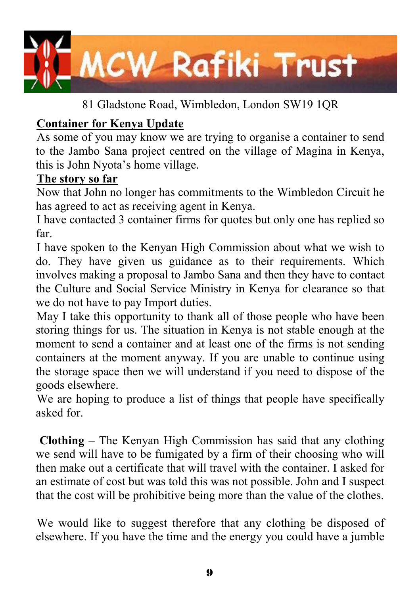

81 Gladstone Road, Wimbledon, London SW19 1QR

## **Container for Kenya Update**

As some of you may know we are trying to organise a container to send to the Jambo Sana project centred on the village of Magina in Kenya, this is John Nyota's home village.

### **The story so far**

Now that John no longer has commitments to the Wimbledon Circuit he has agreed to act as receiving agent in Kenya.

I have contacted 3 container firms for quotes but only one has replied so far.

I have spoken to the Kenyan High Commission about what we wish to do. They have given us guidance as to their requirements. Which involves making a proposal to Jambo Sana and then they have to contact the Culture and Social Service Ministry in Kenya for clearance so that we do not have to pay Import duties.

May I take this opportunity to thank all of those people who have been storing things for us. The situation in Kenya is not stable enough at the moment to send a container and at least one of the firms is not sending containers at the moment anyway. If you are unable to continue using the storage space then we will understand if you need to dispose of the goods elsewhere.

We are hoping to produce a list of things that people have specifically asked for.

**Clothing** – The Kenyan High Commission has said that any clothing we send will have to be fumigated by a firm of their choosing who will then make out a certificate that will travel with the container. I asked for an estimate of cost but was told this was not possible. John and I suspect that the cost will be prohibitive being more than the value of the clothes.

We would like to suggest therefore that any clothing be disposed of elsewhere. If you have the time and the energy you could have a jumble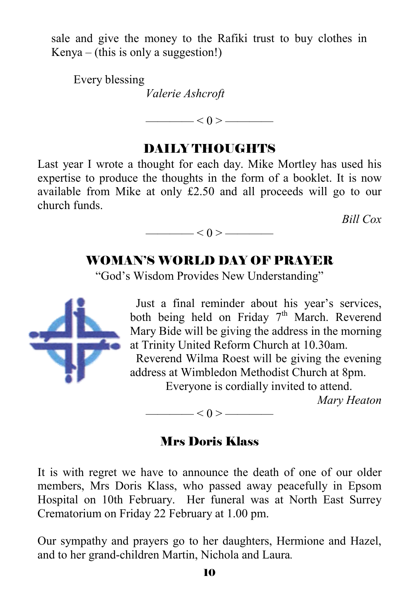sale and give the money to the Rafiki trust to buy clothes in  $Kenva - (this is only a suggestion!)$ 

 Every blessing *Valerie Ashcroft*

 $-$  < 0 >  $-$ 

### DAILY THOUGHTS

Last year I wrote a thought for each day. Mike Mortley has used his expertise to produce the thoughts in the form of a booklet. It is now available from Mike at only £2.50 and all proceeds will go to our church funds.

*Bill Cox*

### WOMAN'S WORLD DAY OF PRAYER

 $< 0 >$  ——

"God's Wisdom Provides New Understanding"



 Just a final reminder about his year's services, both being held on Friday  $7<sup>th</sup>$  March. Reverend Mary Bide will be giving the address in the morning at Trinity United Reform Church at 10.30am.

 Reverend Wilma Roest will be giving the evening address at Wimbledon Methodist Church at 8pm.

Everyone is cordially invited to attend.

*Mary Heaton* 

## Mrs Doris Klass

 $< 0 >$  ——

It is with regret we have to announce the death of one of our older members, Mrs Doris Klass, who passed away peacefully in Epsom Hospital on 10th February. Her funeral was at North East Surrey Crematorium on Friday 22 February at 1.00 pm.

Our sympathy and prayers go to her daughters, Hermione and Hazel, and to her grand-children Martin, Nichola and Laura*.*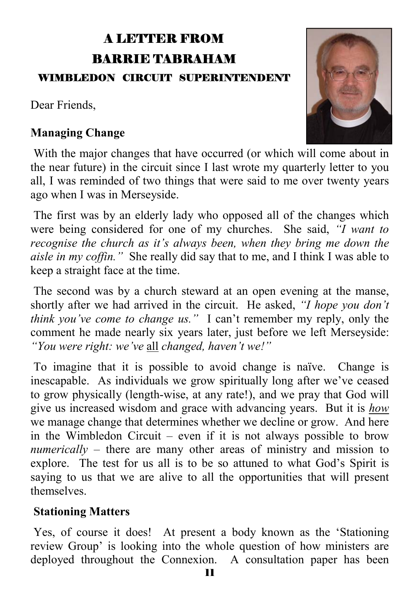# A LETTER FROM BARRIE TABRAHAM

#### WIMBLEDON CIRCUIT SUPERINTENDENT

Dear Friends,

### **Managing Change**



 With the major changes that have occurred (or which will come about in the near future) in the circuit since I last wrote my quarterly letter to you all, I was reminded of two things that were said to me over twenty years ago when I was in Merseyside.

 The first was by an elderly lady who opposed all of the changes which were being considered for one of my churches. She said, *"I want to recognise the church as it's always been, when they bring me down the aisle in my coffin."* She really did say that to me, and I think I was able to keep a straight face at the time.

 The second was by a church steward at an open evening at the manse, shortly after we had arrived in the circuit. He asked, *"I hope you don't think you've come to change us."* I can't remember my reply, only the comment he made nearly six years later, just before we left Merseyside: *"You were right: we've* all *changed, haven't we!"*

 To imagine that it is possible to avoid change is naïve. Change is inescapable. As individuals we grow spiritually long after we've ceased to grow physically (length-wise, at any rate!), and we pray that God will give us increased wisdom and grace with advancing years. But it is *how* we manage change that determines whether we decline or grow. And here in the Wimbledon Circuit – even if it is not always possible to brow *numerically* – there are many other areas of ministry and mission to explore. The test for us all is to be so attuned to what God's Spirit is saying to us that we are alive to all the opportunities that will present themselves.

### **Stationing Matters**

 Yes, of course it does! At present a body known as the 'Stationing review Group' is looking into the whole question of how ministers are deployed throughout the Connexion. A consultation paper has been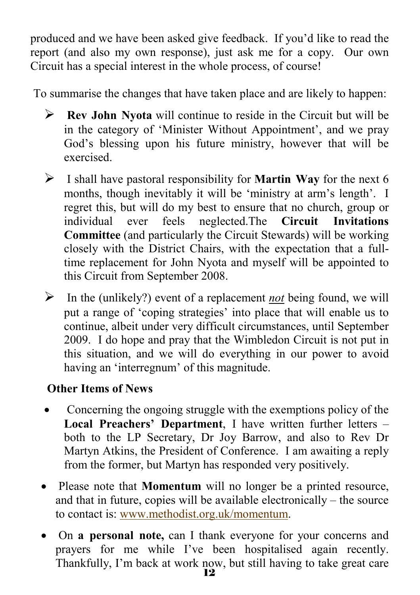produced and we have been asked give feedback. If you'd like to read the report (and also my own response), just ask me for a copy. Our own Circuit has a special interest in the whole process, of course!

To summarise the changes that have taken place and are likely to happen:

- ¾ **Rev John Nyota** will continue to reside in the Circuit but will be in the category of 'Minister Without Appointment', and we pray God's blessing upon his future ministry, however that will be exercised.
- ¾ I shall have pastoral responsibility for **Martin Way** for the next 6 months, though inevitably it will be 'ministry at arm's length'. I regret this, but will do my best to ensure that no church, group or individual ever feels neglected.The **Circuit Invitations Committee** (and particularly the Circuit Stewards) will be working closely with the District Chairs, with the expectation that a fulltime replacement for John Nyota and myself will be appointed to this Circuit from September 2008.
- $\triangleright$  In the (unlikely?) event of a replacement *not* being found, we will put a range of 'coping strategies' into place that will enable us to continue, albeit under very difficult circumstances, until September 2009. I do hope and pray that the Wimbledon Circuit is not put in this situation, and we will do everything in our power to avoid having an 'interregnum' of this magnitude.

## **Other Items of News**

- Concerning the ongoing struggle with the exemptions policy of the **Local Preachers' Department**, I have written further letters – both to the LP Secretary, Dr Joy Barrow, and also to Rev Dr Martyn Atkins, the President of Conference. I am awaiting a reply from the former, but Martyn has responded very positively.
- Please note that **Momentum** will no longer be a printed resource, and that in future, copies will be available electronically – the source to contact is: www.methodist.org.uk/momentum.
- On **a personal note,** can I thank everyone for your concerns and prayers for me while I've been hospitalised again recently. Thankfully, I'm back at work now, but still having to take great care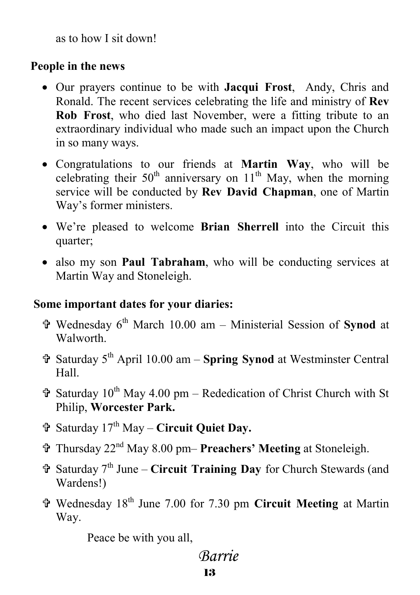as to how I sit down!

### **People in the news**

- Our prayers continue to be with **Jacqui Frost**, Andy, Chris and Ronald. The recent services celebrating the life and ministry of **Rev Rob Frost**, who died last November, were a fitting tribute to an extraordinary individual who made such an impact upon the Church in so many ways.
- Congratulations to our friends at **Martin Way**, who will be celebrating their  $50<sup>th</sup>$  anniversary on  $11<sup>th</sup>$  May, when the morning service will be conducted by **Rev David Chapman**, one of Martin Way's former ministers.
- We're pleased to welcome **Brian Sherrell** into the Circuit this quarter;
- also my son **Paul Tabraham**, who will be conducting services at Martin Way and Stoneleigh.

### **Some important dates for your diaries:**

- = Wednesday 6th March 10.00 am Ministerial Session of **Synod** at **Walworth**
- = Saturday 5th April 10.00 am **Spring Synod** at Westminster Central Hall.
- $\hat{\mathbf{\tau}}$  Saturday 10<sup>th</sup> May 4.00 pm Rededication of Christ Church with St Philip, **Worcester Park.**
- = Saturday 17th May **Circuit Quiet Day.**
- = Thursday 22nd May 8.00 pm– **Preachers' Meeting** at Stoneleigh.
- = Saturday 7th June **Circuit Training Day** for Church Stewards (and Wardens!)
- = Wednesday 18th June 7.00 for 7.30 pm **Circuit Meeting** at Martin Way.

Peace be with you all,

## 13  *Barrie*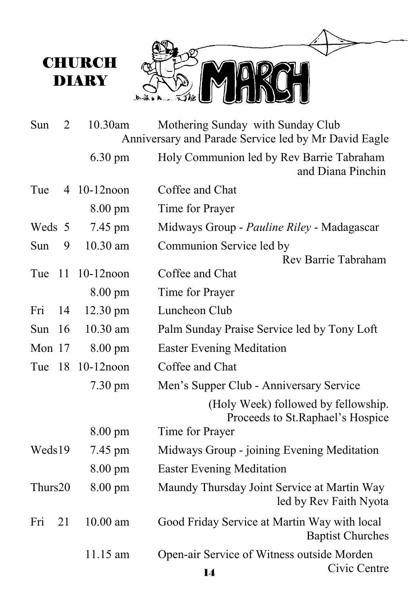

| Sun     | 2  | 10.30am           | Mothering Sunday with Sunday Club<br>Anniversary and Parade Service led by Mr David Eagle |
|---------|----|-------------------|-------------------------------------------------------------------------------------------|
|         |    | 6.30 pm           | Holy Communion led by Rev Barrie Tabraham<br>and Diana Pinchin                            |
| Tue     |    | 4 10-12 noon      | Coffee and Chat                                                                           |
|         |    | 8.00 pm           | Time for Prayer                                                                           |
| Weds 5  |    | 7.45 pm           | Midways Group - Pauline Riley - Madagascar                                                |
| Sun     | 9  | 10.30 am          | Communion Service led by                                                                  |
|         |    |                   | Rev Barrie Tabraham                                                                       |
| Tue     | 11 | $10-12$ noon      | Coffee and Chat                                                                           |
|         |    | $8.00 \text{ pm}$ | Time for Prayer                                                                           |
| Fri     | 14 | 12.30 pm          | Luncheon Club                                                                             |
| Sun     | 16 | 10.30 am          | Palm Sunday Praise Service led by Tony Loft                                               |
| Mon 17  |    | 8.00 pm           | <b>Easter Evening Meditation</b>                                                          |
| Tue     | 18 | $10-12$ noon      | Coffee and Chat                                                                           |
|         |    | $7.30 \text{ pm}$ | Men's Supper Club - Anniversary Service                                                   |
|         |    |                   | (Holy Week) followed by fellowship.<br>Proceeds to St. Raphael's Hospice                  |
|         |    | $8.00 \text{ pm}$ | Time for Prayer                                                                           |
| Weds19  |    | 7.45 pm           | Midways Group - joining Evening Meditation                                                |
|         |    | 8.00 pm           | <b>Easter Evening Meditation</b>                                                          |
| Thurs20 |    | 8.00 pm           | Maundy Thursday Joint Service at Martin Way<br>led by Rev Faith Nyota                     |
| Fri     | 21 | 10.00 am          | Good Friday Service at Martin Way with local<br><b>Baptist Churches</b>                   |
|         |    | 11.15 am          | Open-air Service of Witness outside Morden<br>Civic Centre                                |
|         |    |                   | $\blacksquare$                                                                            |

**CHURCH DIARY**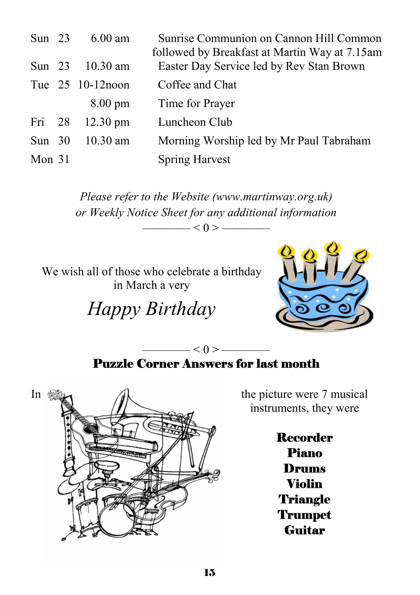| Sun $23$ | $6.00 \text{ am}$  | Sunrise Communion on Cannon Hill Common<br>followed by Breakfast at Martin Way at 7.15am |
|----------|--------------------|------------------------------------------------------------------------------------------|
|          | Sun 23 10.30 am    | Easter Day Service led by Rev Stan Brown                                                 |
|          | Tue 25 10-12 noon  | Coffee and Chat                                                                          |
|          | $8.00 \text{ pm}$  | Time for Prayer                                                                          |
| Fri 28   | $12.30 \text{ pm}$ | Luncheon Club                                                                            |
| Sun $30$ | $10.30$ am         | Morning Worship led by Mr Paul Tabraham                                                  |
| Mon $31$ |                    | <b>Spring Harvest</b>                                                                    |

*Please refer to the Website (www.martinway.org.uk) or Weekly Notice Sheet for any additional information*   $<$  0 >  $-$ 

We wish all of those who celebrate a birthday in March a very

*Happy Birthday* 



### $-$  < 0 >  $-$ Puzzle Corner Answers for last month



instruments, they were

Recorder Piano Drums Violin **Triangle Trumpet Guitar**